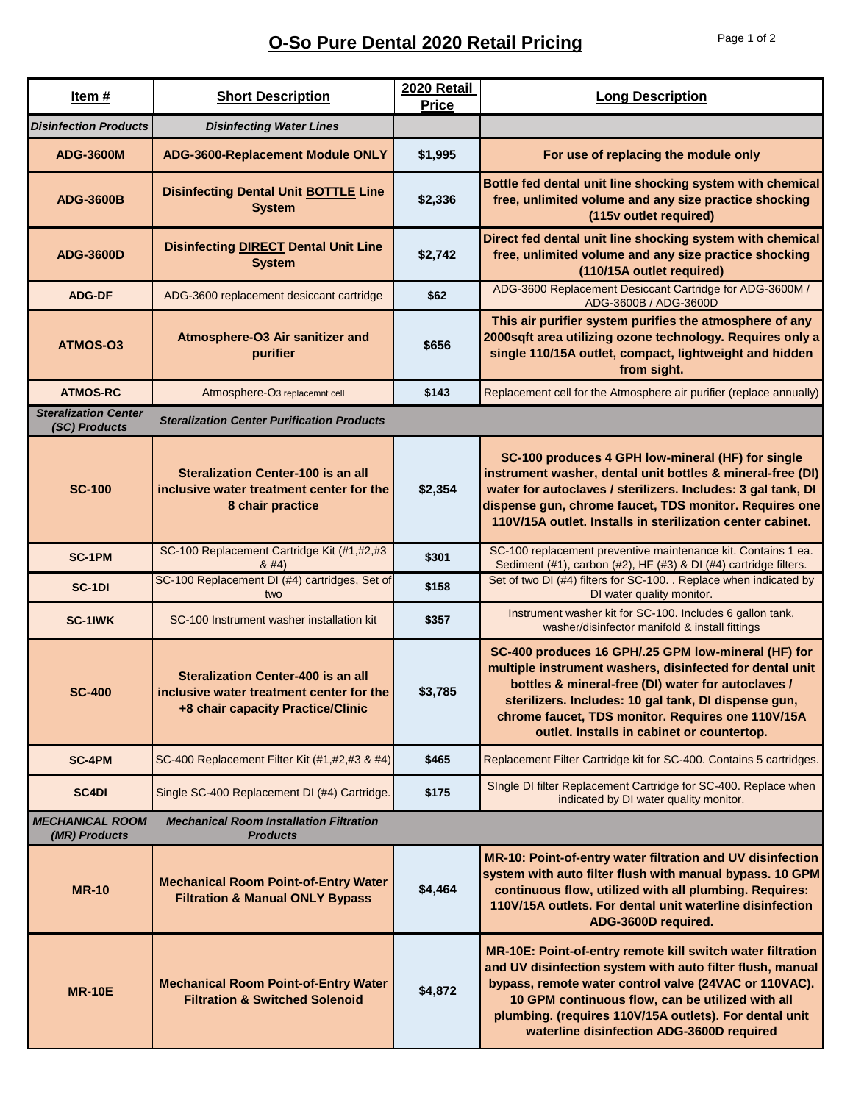## **O-So Pure Dental 2020 Retail Pricing** Page 1 of 2

| <u>Item #</u>                                | <b>Short Description</b>                                                                                                   | 2020 Retail<br>Price | <b>Long Description</b>                                                                                                                                                                                                                                                                                                                     |
|----------------------------------------------|----------------------------------------------------------------------------------------------------------------------------|----------------------|---------------------------------------------------------------------------------------------------------------------------------------------------------------------------------------------------------------------------------------------------------------------------------------------------------------------------------------------|
| <b>Disinfection Products</b>                 | <b>Disinfecting Water Lines</b>                                                                                            |                      |                                                                                                                                                                                                                                                                                                                                             |
| <b>ADG-3600M</b>                             | ADG-3600-Replacement Module ONLY                                                                                           | \$1,995              | For use of replacing the module only                                                                                                                                                                                                                                                                                                        |
| <b>ADG-3600B</b>                             | <b>Disinfecting Dental Unit BOTTLE Line</b><br><b>System</b>                                                               | \$2,336              | Bottle fed dental unit line shocking system with chemical<br>free, unlimited volume and any size practice shocking<br>(115v outlet required)                                                                                                                                                                                                |
| <b>ADG-3600D</b>                             | <b>Disinfecting DIRECT Dental Unit Line</b><br><b>System</b>                                                               | \$2,742              | Direct fed dental unit line shocking system with chemical<br>free, unlimited volume and any size practice shocking<br>(110/15A outlet required)                                                                                                                                                                                             |
| <b>ADG-DF</b>                                | ADG-3600 replacement desiccant cartridge                                                                                   | \$62                 | ADG-3600 Replacement Desiccant Cartridge for ADG-3600M /<br>ADG-3600B / ADG-3600D                                                                                                                                                                                                                                                           |
| ATMOS-03                                     | Atmosphere-O3 Air sanitizer and<br>purifier                                                                                | \$656                | This air purifier system purifies the atmosphere of any<br>2000sqft area utilizing ozone technology. Requires only a<br>single 110/15A outlet, compact, lightweight and hidden<br>from sight.                                                                                                                                               |
| <b>ATMOS-RC</b>                              | Atmosphere-O3 replacemnt cell                                                                                              | \$143                | Replacement cell for the Atmosphere air purifier (replace annually)                                                                                                                                                                                                                                                                         |
| <b>Steralization Center</b><br>(SC) Products | <b>Steralization Center Purification Products</b>                                                                          |                      |                                                                                                                                                                                                                                                                                                                                             |
| <b>SC-100</b>                                | <b>Steralization Center-100 is an all</b><br>inclusive water treatment center for the<br>8 chair practice                  | \$2,354              | SC-100 produces 4 GPH low-mineral (HF) for single<br>instrument washer, dental unit bottles & mineral-free (DI)<br>water for autoclaves / sterilizers. Includes: 3 gal tank, DI<br>dispense gun, chrome faucet, TDS monitor. Requires one<br>110V/15A outlet. Installs in sterilization center cabinet.                                     |
| <b>SC-1PM</b>                                | SC-100 Replacement Cartridge Kit (#1,#2,#3<br>8#4)                                                                         | \$301                | SC-100 replacement preventive maintenance kit. Contains 1 ea.<br>Sediment (#1), carbon (#2), HF (#3) & DI (#4) cartridge filters.                                                                                                                                                                                                           |
| SC-1DI                                       | SC-100 Replacement DI (#4) cartridges, Set of<br>two                                                                       | \$158                | Set of two DI (#4) filters for SC-100. . Replace when indicated by<br>DI water quality monitor.                                                                                                                                                                                                                                             |
| SC-1IWK                                      | SC-100 Instrument washer installation kit                                                                                  | \$357                | Instrument washer kit for SC-100. Includes 6 gallon tank,<br>washer/disinfector manifold & install fittings                                                                                                                                                                                                                                 |
| <b>SC-400</b>                                | <b>Steralization Center-400 is an all</b><br>inclusive water treatment center for the<br>+8 chair capacity Practice/Clinic | \$3,785              | SC-400 produces 16 GPH/.25 GPM low-mineral (HF) for<br>multiple instrument washers, disinfected for dental unit<br>bottles & mineral-free (DI) water for autoclaves /<br>sterilizers. Includes: 10 gal tank, DI dispense gun,<br>chrome faucet, TDS monitor. Requires one 110V/15A<br>outlet. Installs in cabinet or countertop.            |
| <b>SC-4PM</b>                                | SC-400 Replacement Filter Kit (#1,#2,#3 & #4)                                                                              | \$465                | Replacement Filter Cartridge kit for SC-400. Contains 5 cartridges.                                                                                                                                                                                                                                                                         |
| SC <sub>4</sub> DI                           | Single SC-400 Replacement DI (#4) Cartridge.                                                                               | \$175                | Single DI filter Replacement Cartridge for SC-400. Replace when<br>indicated by DI water quality monitor.                                                                                                                                                                                                                                   |
| <b>MECHANICAL ROOM</b><br>(MR) Products      | <b>Mechanical Room Installation Filtration</b><br><b>Products</b>                                                          |                      |                                                                                                                                                                                                                                                                                                                                             |
| <b>MR-10</b>                                 | <b>Mechanical Room Point-of-Entry Water</b><br><b>Filtration &amp; Manual ONLY Bypass</b>                                  | \$4,464              | MR-10: Point-of-entry water filtration and UV disinfection<br>system with auto filter flush with manual bypass. 10 GPM<br>continuous flow, utilized with all plumbing. Requires:<br>110V/15A outlets. For dental unit waterline disinfection<br>ADG-3600D required.                                                                         |
| <b>MR-10E</b>                                | <b>Mechanical Room Point-of-Entry Water</b><br><b>Filtration &amp; Switched Solenoid</b>                                   | \$4,872              | MR-10E: Point-of-entry remote kill switch water filtration<br>and UV disinfection system with auto filter flush, manual<br>bypass, remote water control valve (24VAC or 110VAC).<br>10 GPM continuous flow, can be utilized with all<br>plumbing. (requires 110V/15A outlets). For dental unit<br>waterline disinfection ADG-3600D required |